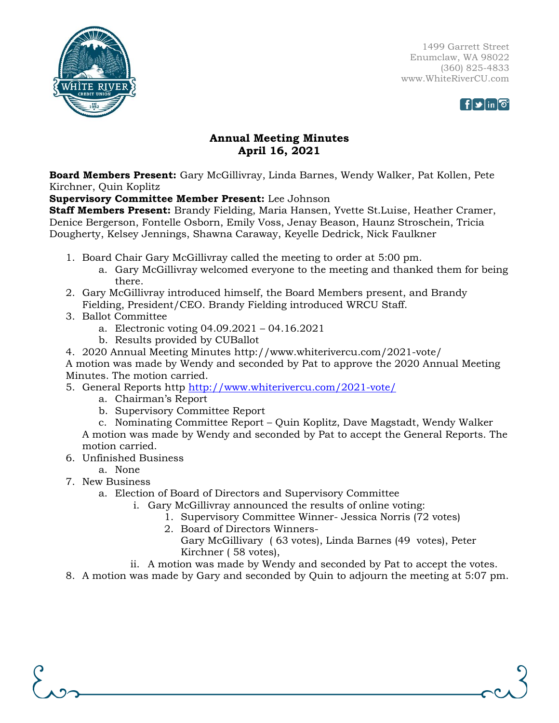

1499 Garrett Street Enumclaw, WA 98022 (360) 825-4833 www.WhiteRiverCU.com



## **Annual Meeting Minutes April 16, 2021**

**Board Members Present:** Gary McGillivray, Linda Barnes, Wendy Walker, Pat Kollen, Pete Kirchner, Quin Koplitz

## **Supervisory Committee Member Present:** Lee Johnson

**Staff Members Present:** Brandy Fielding, Maria Hansen, Yvette St.Luise, Heather Cramer, Denice Bergerson, Fontelle Osborn, Emily Voss, Jenay Beason, Haunz Stroschein, Tricia Dougherty, Kelsey Jennings, Shawna Caraway, Keyelle Dedrick, Nick Faulkner

- 1. Board Chair Gary McGillivray called the meeting to order at 5:00 pm.
	- a. Gary McGillivray welcomed everyone to the meeting and thanked them for being there.
- 2. Gary McGillivray introduced himself, the Board Members present, and Brandy Fielding, President/CEO. Brandy Fielding introduced WRCU Staff.
- 3. Ballot Committee
	- a. Electronic voting 04.09.2021 04.16.2021
	- b. Results provided by CUBallot
- 4. 2020 Annual Meeting Minutes http://www.whiterivercu.com/2021-vote/

A motion was made by Wendy and seconded by Pat to approve the 2020 Annual Meeting Minutes. The motion carried.

- 5. General Reports http <http://www.whiterivercu.com/2021-vote/>
	- a. Chairman's Report
	- b. Supervisory Committee Report

c. Nominating Committee Report – Quin Koplitz, Dave Magstadt, Wendy Walker A motion was made by Wendy and seconded by Pat to accept the General Reports. The motion carried.

- 6. Unfinished Business
	- a. None
- 7. New Business
	- a. Election of Board of Directors and Supervisory Committee
		- i. Gary McGillivray announced the results of online voting:
			- 1. Supervisory Committee Winner- Jessica Norris (72 votes)
			- 2. Board of Directors Winners-
				- Gary McGillivary ( 63 votes), Linda Barnes (49 votes), Peter Kirchner ( 58 votes),
		- ii. A motion was made by Wendy and seconded by Pat to accept the votes.

8. A motion was made by Gary and seconded by Quin to adjourn the meeting at 5:07 pm.